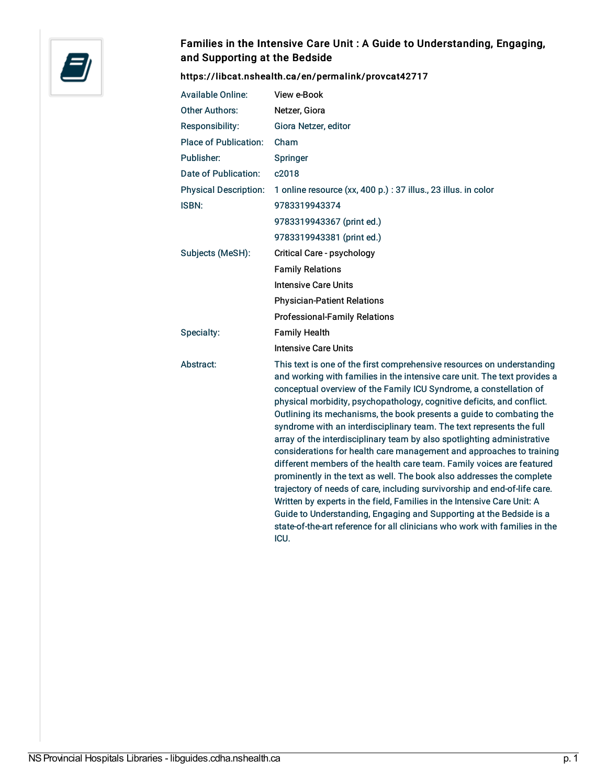

## Families in the Intensive Care Unit : A Guide to Understanding, Engaging, and Supporting at the Bedside

<https://libcat.nshealth.ca/en/permalink/provcat42717>

| <b>Available Online:</b>     | View e-Book                                                                                                                                                                                                                                                                                                                                                                                                                                                                                                                                                                                                                                                                                                                                                                                                                                                                                                                                                                                                                                                                     |
|------------------------------|---------------------------------------------------------------------------------------------------------------------------------------------------------------------------------------------------------------------------------------------------------------------------------------------------------------------------------------------------------------------------------------------------------------------------------------------------------------------------------------------------------------------------------------------------------------------------------------------------------------------------------------------------------------------------------------------------------------------------------------------------------------------------------------------------------------------------------------------------------------------------------------------------------------------------------------------------------------------------------------------------------------------------------------------------------------------------------|
| <b>Other Authors:</b>        | Netzer, Giora                                                                                                                                                                                                                                                                                                                                                                                                                                                                                                                                                                                                                                                                                                                                                                                                                                                                                                                                                                                                                                                                   |
| Responsibility:              | Giora Netzer, editor                                                                                                                                                                                                                                                                                                                                                                                                                                                                                                                                                                                                                                                                                                                                                                                                                                                                                                                                                                                                                                                            |
| <b>Place of Publication:</b> | Cham                                                                                                                                                                                                                                                                                                                                                                                                                                                                                                                                                                                                                                                                                                                                                                                                                                                                                                                                                                                                                                                                            |
| Publisher:                   | Springer                                                                                                                                                                                                                                                                                                                                                                                                                                                                                                                                                                                                                                                                                                                                                                                                                                                                                                                                                                                                                                                                        |
| <b>Date of Publication:</b>  | c2018                                                                                                                                                                                                                                                                                                                                                                                                                                                                                                                                                                                                                                                                                                                                                                                                                                                                                                                                                                                                                                                                           |
| <b>Physical Description:</b> | 1 online resource (xx, 400 p.) : 37 illus., 23 illus. in color                                                                                                                                                                                                                                                                                                                                                                                                                                                                                                                                                                                                                                                                                                                                                                                                                                                                                                                                                                                                                  |
| ISBN:                        | 9783319943374                                                                                                                                                                                                                                                                                                                                                                                                                                                                                                                                                                                                                                                                                                                                                                                                                                                                                                                                                                                                                                                                   |
|                              | 9783319943367 (print ed.)                                                                                                                                                                                                                                                                                                                                                                                                                                                                                                                                                                                                                                                                                                                                                                                                                                                                                                                                                                                                                                                       |
|                              | 9783319943381 (print ed.)                                                                                                                                                                                                                                                                                                                                                                                                                                                                                                                                                                                                                                                                                                                                                                                                                                                                                                                                                                                                                                                       |
| Subjects (MeSH):             | Critical Care - psychology                                                                                                                                                                                                                                                                                                                                                                                                                                                                                                                                                                                                                                                                                                                                                                                                                                                                                                                                                                                                                                                      |
|                              | <b>Family Relations</b>                                                                                                                                                                                                                                                                                                                                                                                                                                                                                                                                                                                                                                                                                                                                                                                                                                                                                                                                                                                                                                                         |
|                              | <b>Intensive Care Units</b>                                                                                                                                                                                                                                                                                                                                                                                                                                                                                                                                                                                                                                                                                                                                                                                                                                                                                                                                                                                                                                                     |
|                              | <b>Physician-Patient Relations</b>                                                                                                                                                                                                                                                                                                                                                                                                                                                                                                                                                                                                                                                                                                                                                                                                                                                                                                                                                                                                                                              |
|                              | <b>Professional-Family Relations</b>                                                                                                                                                                                                                                                                                                                                                                                                                                                                                                                                                                                                                                                                                                                                                                                                                                                                                                                                                                                                                                            |
| Specialty:                   | <b>Family Health</b>                                                                                                                                                                                                                                                                                                                                                                                                                                                                                                                                                                                                                                                                                                                                                                                                                                                                                                                                                                                                                                                            |
|                              | <b>Intensive Care Units</b>                                                                                                                                                                                                                                                                                                                                                                                                                                                                                                                                                                                                                                                                                                                                                                                                                                                                                                                                                                                                                                                     |
| Abstract:                    | This text is one of the first comprehensive resources on understanding<br>and working with families in the intensive care unit. The text provides a<br>conceptual overview of the Family ICU Syndrome, a constellation of<br>physical morbidity, psychopathology, cognitive deficits, and conflict.<br>Outlining its mechanisms, the book presents a guide to combating the<br>syndrome with an interdisciplinary team. The text represents the full<br>array of the interdisciplinary team by also spotlighting administrative<br>considerations for health care management and approaches to training<br>different members of the health care team. Family voices are featured<br>prominently in the text as well. The book also addresses the complete<br>trajectory of needs of care, including survivorship and end-of-life care.<br>Written by experts in the field, Families in the Intensive Care Unit: A<br>Guide to Understanding, Engaging and Supporting at the Bedside is a<br>state-of-the-art reference for all clinicians who work with families in the<br>ICU. |